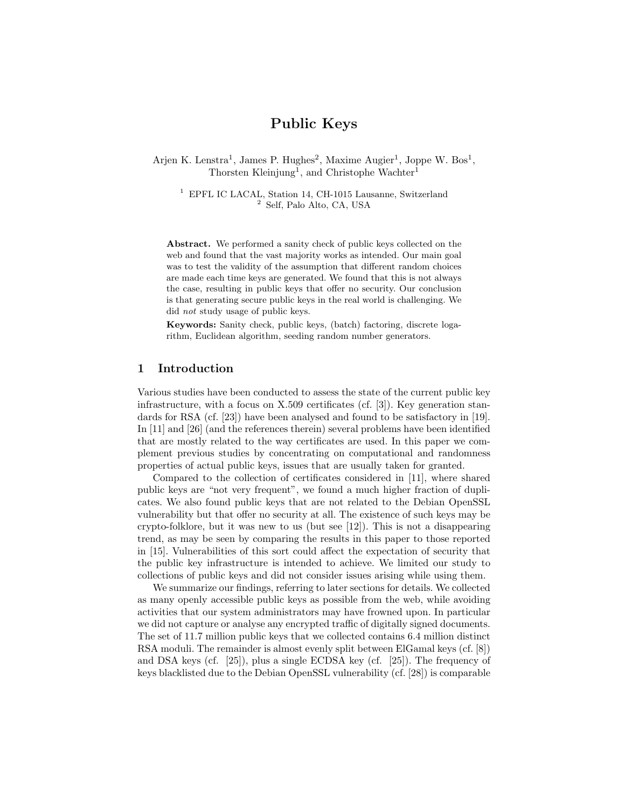# Public Keys

Arjen K. Lenstra<sup>1</sup>, James P. Hughes<sup>2</sup>, Maxime Augier<sup>1</sup>, Joppe W. Bos<sup>1</sup>, Thorsten Kleinjung<sup>1</sup>, and Christophe Wachter<sup>1</sup>

<sup>1</sup> EPFL IC LACAL, Station 14, CH-1015 Lausanne, Switzerland <sup>2</sup> Self, Palo Alto, CA, USA

Abstract. We performed a sanity check of public keys collected on the web and found that the vast majority works as intended. Our main goal was to test the validity of the assumption that different random choices are made each time keys are generated. We found that this is not always the case, resulting in public keys that offer no security. Our conclusion is that generating secure public keys in the real world is challenging. We did not study usage of public keys.

Keywords: Sanity check, public keys, (batch) factoring, discrete logarithm, Euclidean algorithm, seeding random number generators.

### 1 Introduction

Various studies have been conducted to assess the state of the current public key infrastructure, with a focus on X.509 certificates (cf. [3]). Key generation standards for RSA (cf. [23]) have been analysed and found to be satisfactory in [19]. In [11] and [26] (and the references therein) several problems have been identified that are mostly related to the way certificates are used. In this paper we complement previous studies by concentrating on computational and randomness properties of actual public keys, issues that are usually taken for granted.

Compared to the collection of certificates considered in [11], where shared public keys are "not very frequent", we found a much higher fraction of duplicates. We also found public keys that are not related to the Debian OpenSSL vulnerability but that offer no security at all. The existence of such keys may be crypto-folklore, but it was new to us (but see [12]). This is not a disappearing trend, as may be seen by comparing the results in this paper to those reported in [15]. Vulnerabilities of this sort could affect the expectation of security that the public key infrastructure is intended to achieve. We limited our study to collections of public keys and did not consider issues arising while using them.

We summarize our findings, referring to later sections for details. We collected as many openly accessible public keys as possible from the web, while avoiding activities that our system administrators may have frowned upon. In particular we did not capture or analyse any encrypted traffic of digitally signed documents. The set of 11.7 million public keys that we collected contains 6.4 million distinct RSA moduli. The remainder is almost evenly split between ElGamal keys (cf. [8]) and DSA keys (cf. [25]), plus a single ECDSA key (cf. [25]). The frequency of keys blacklisted due to the Debian OpenSSL vulnerability (cf. [28]) is comparable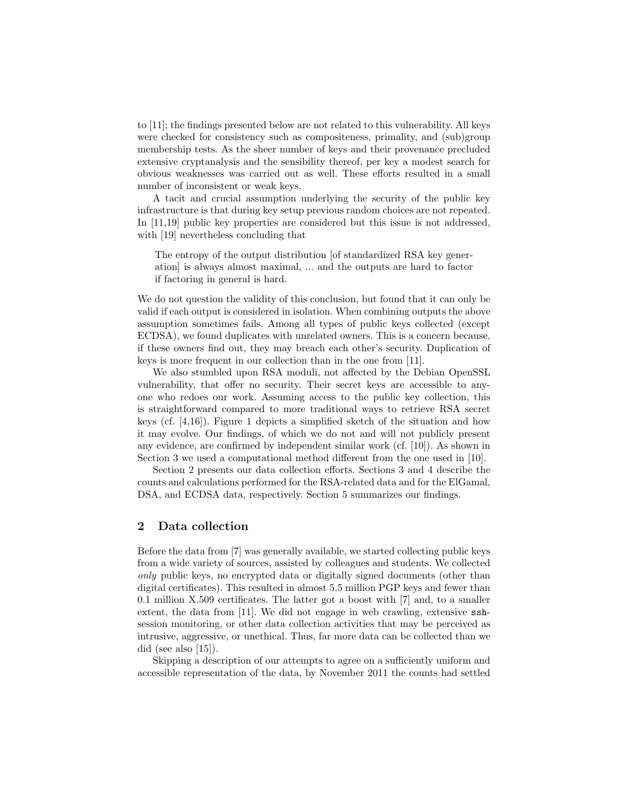to [11]; the findings presented below are not related to this vulnerability. All keys were checked for consistency such as compositeness, primality, and (sub)group membership tests. As the sheer number of keys and their provenance precluded extensive cryptanalysis and the sensibility thereof, per key a modest search for obvious weaknesses was carried out as well. These efforts resulted in a small number of inconsistent or weak keys.

A tacit and crucial assumption underlying the security of the public key infrastructure is that during key setup previous random choices are not repeated. In [11,19] public key properties are considered but this issue is not addressed, with [19] nevertheless concluding that

The entropy of the output distribution [of standardized RSA key generation] is always almost maximal, ... and the outputs are hard to factor if factoring in general is hard.

We do not question the validity of this conclusion, but found that it can only be valid if each output is considered in isolation. When combining outputs the above assumption sometimes fails. Among all types of public keys collected (except ECDSA), we found duplicates with unrelated owners. This is a concern because, if these owners find out, they may breach each other's security. Duplication of keys is more frequent in our collection than in the one from [11].

We also stumbled upon RSA moduli, not affected by the Debian OpenSSL vulnerability, that offer no security. Their secret keys are accessible to anyone who redoes our work. Assuming access to the public key collection, this is straightforward compared to more traditional ways to retrieve RSA secret keys (cf. [4,16]). Figure 1 depicts a simplified sketch of the situation and how it may evolve. Our findings, of which we do not and will not publicly present any evidence, are confirmed by independent similar work (cf. [10]). As shown in Section 3 we used a computational method different from the one used in [10].

Section 2 presents our data collection efforts. Sections 3 and 4 describe the counts and calculations performed for the RSA-related data and for the ElGamal, DSA, and ECDSA data, respectively. Section 5 summarizes our findings.

## 2 Data collection

Before the data from [7] was generally available, we started collecting public keys from a wide variety of sources, assisted by colleagues and students. We collected only public keys, no encrypted data or digitally signed documents (other than digital certificates). This resulted in almost 5.5 million PGP keys and fewer than 0.1 million X.509 certificates. The latter got a boost with [7] and, to a smaller extent, the data from [11]. We did not engage in web crawling, extensive sshsession monitoring, or other data collection activities that may be perceived as intrusive, aggressive, or unethical. Thus, far more data can be collected than we did (see also [15]).

Skipping a description of our attempts to agree on a sufficiently uniform and accessible representation of the data, by November 2011 the counts had settled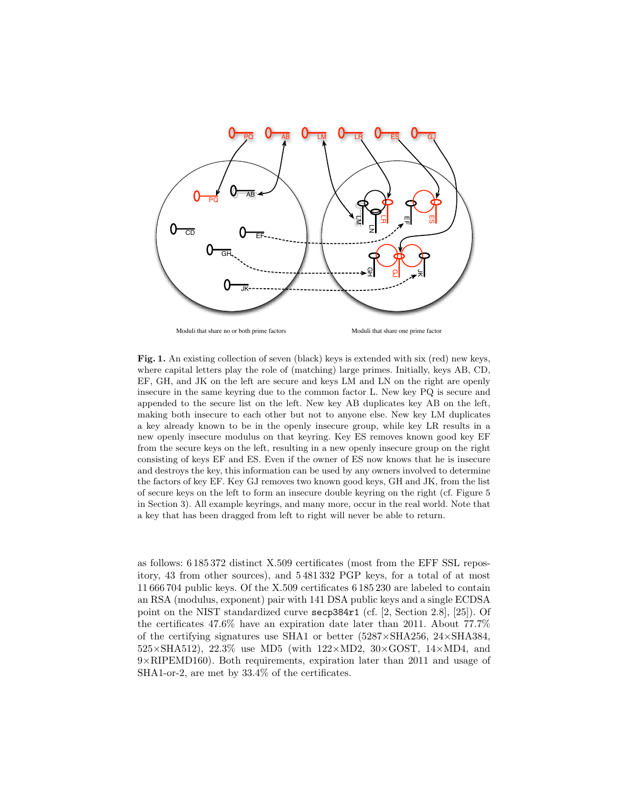

Fig. 1. An existing collection of seven (black) keys is extended with six (red) new keys, where capital letters play the role of (matching) large primes. Initially, keys AB, CD, EF, GH, and JK on the left are secure and keys LM and LN on the right are openly insecure in the same keyring due to the common factor L. New key PQ is secure and appended to the secure list on the left. New key AB duplicates key AB on the left, making both insecure to each other but not to anyone else. New key LM duplicates a key already known to be in the openly insecure group, while key LR results in a new openly insecure modulus on that keyring. Key ES removes known good key EF from the secure keys on the left, resulting in a new openly insecure group on the right consisting of keys EF and ES. Even if the owner of ES now knows that he is insecure and destroys the key, this information can be used by any owners involved to determine the factors of key EF. Key GJ removes two known good keys, GH and JK, from the list of secure keys on the left to form an insecure double keyring on the right (cf. Figure 5 in Section 3). All example keyrings, and many more, occur in the real world. Note that a key that has been dragged from left to right will never be able to return.

as follows: 6 185 372 distinct X.509 certificates (most from the EFF SSL repository, 43 from other sources), and 5 481 332 PGP keys, for a total of at most 11 666 704 public keys. Of the X.509 certificates 6 185 230 are labeled to contain an RSA (modulus, exponent) pair with 141 DSA public keys and a single ECDSA point on the NIST standardized curve secp384r1 (cf. [2, Section 2.8], [25]). Of the certificates 47.6% have an expiration date later than 2011. About 77.7% of the certifying signatures use SHA1 or better (5287×SHA256, 24×SHA384,  $525\times SHA512$ ,  $22.3\%$  use MD5 (with  $122\times MD2$ ,  $30\times GOST$ ,  $14\times MD4$ , and  $9 \times \text{RIPEMD160}$ . Both requirements, expiration later than 2011 and usage of SHA1-or-2, are met by 33.4% of the certificates.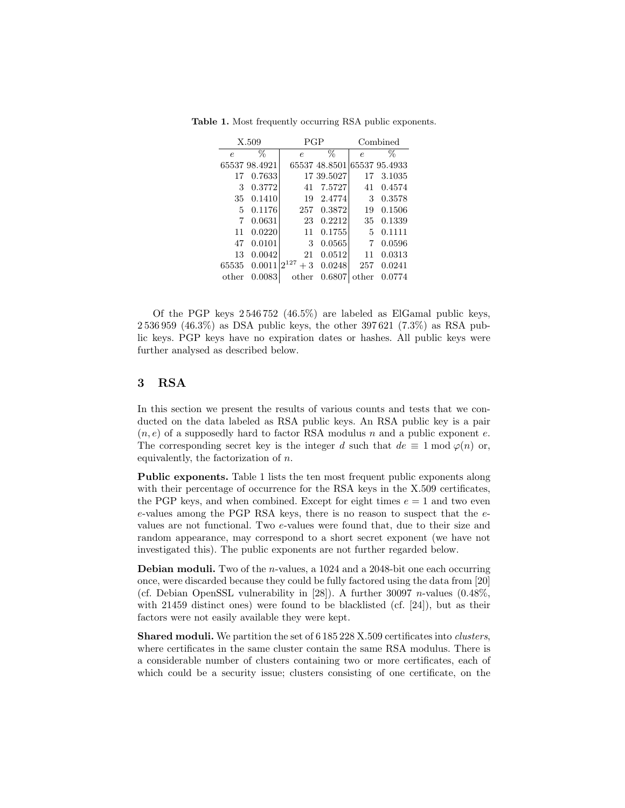|            | X.509         | PGP               |               | Combined   |               |  |  |
|------------|---------------|-------------------|---------------|------------|---------------|--|--|
| $\epsilon$ | %             | $\epsilon$        | %             | $\epsilon$ | %             |  |  |
|            | 65537 98.4921 |                   | 65537 48.8501 |            | 65537 95.4933 |  |  |
| 17         | 0.7633        |                   | 17 39.5027    | 17         | 3.1035        |  |  |
| 3          | 0.3772        | 41                | 7.5727        | 41         | 0.4574        |  |  |
| 35         | 0.1410        | 19                | 2.4774        | 3          | 0.3578        |  |  |
| 5          | 0.1176        | 257               | 0.3872        | 19         | 0.1506        |  |  |
| 7          | 0.0631        | 23                | 0.2212        | 35         | 0.1339        |  |  |
| 11         | 0.0220        | 11                | 0.1755        | 5          | 0.1111        |  |  |
| 47         | 0.0101        | 3                 | 0.0565        | 7          | 0.0596        |  |  |
| 13         | 0.0042        | 21                | 0.0512        | 11         | 0.0313        |  |  |
| 65535      | 0.0011        | $2^{127}$<br>$+3$ | 0.0248        | 257        | 0.0241        |  |  |
| other      | 0.0083        | other             | 0.6807        | other      | 0.0774        |  |  |

Table 1. Most frequently occurring RSA public exponents.

Of the PGP keys 2 546 752 (46.5%) are labeled as ElGamal public keys, 2 536 959 (46.3%) as DSA public keys, the other 397 621 (7.3%) as RSA public keys. PGP keys have no expiration dates or hashes. All public keys were further analysed as described below.

## 3 RSA

In this section we present the results of various counts and tests that we conducted on the data labeled as RSA public keys. An RSA public key is a pair  $(n, e)$  of a supposedly hard to factor RSA modulus n and a public exponent e. The corresponding secret key is the integer d such that  $de \equiv 1 \mod \varphi(n)$  or, equivalently, the factorization of  $n$ .

Public exponents. Table 1 lists the ten most frequent public exponents along with their percentage of occurrence for the RSA keys in the X.509 certificates, the PGP keys, and when combined. Except for eight times  $e = 1$  and two even e-values among the PGP RSA keys, there is no reason to suspect that the evalues are not functional. Two e-values were found that, due to their size and random appearance, may correspond to a short secret exponent (we have not investigated this). The public exponents are not further regarded below.

**Debian moduli.** Two of the *n*-values, a 1024 and a 2048-bit one each occurring once, were discarded because they could be fully factored using the data from [20] (cf. Debian OpenSSL vulnerability in [28]). A further 30097 *n*-values  $(0.48\%,$ with 21459 distinct ones) were found to be blacklisted (cf.  $[24]$ ), but as their factors were not easily available they were kept.

Shared moduli. We partition the set of 6 185 228 X.509 certificates into *clusters*, where certificates in the same cluster contain the same RSA modulus. There is a considerable number of clusters containing two or more certificates, each of which could be a security issue; clusters consisting of one certificate, on the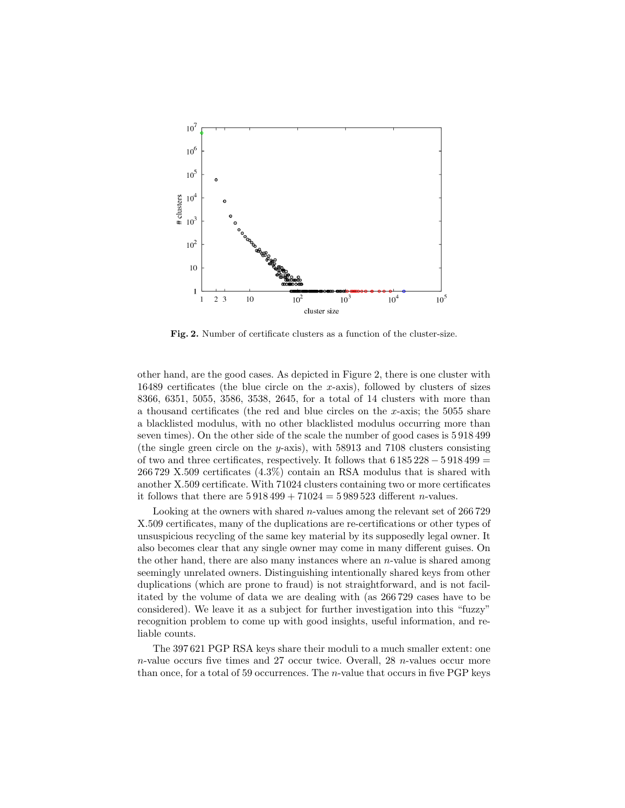

Fig. 2. Number of certificate clusters as a function of the cluster-size.

other hand, are the good cases. As depicted in Figure 2, there is one cluster with 16489 certificates (the blue circle on the x-axis), followed by clusters of sizes 8366, 6351, 5055, 3586, 3538, 2645, for a total of 14 clusters with more than a thousand certificates (the red and blue circles on the x-axis; the  $5055$  share a blacklisted modulus, with no other blacklisted modulus occurring more than seven times). On the other side of the scale the number of good cases is 5 918 499 (the single green circle on the y-axis), with 58913 and 7108 clusters consisting of two and three certificates, respectively. It follows that  $6185228 - 5918499 =$ 266 729 X.509 certificates (4.3%) contain an RSA modulus that is shared with another X.509 certificate. With 71024 clusters containing two or more certificates it follows that there are  $5\,918\,499 + 71024 = 5\,989\,523$  different *n*-values.

Looking at the owners with shared *n*-values among the relevant set of 266729 X.509 certificates, many of the duplications are re-certifications or other types of unsuspicious recycling of the same key material by its supposedly legal owner. It also becomes clear that any single owner may come in many different guises. On the other hand, there are also many instances where an  $n$ -value is shared among seemingly unrelated owners. Distinguishing intentionally shared keys from other duplications (which are prone to fraud) is not straightforward, and is not facilitated by the volume of data we are dealing with (as 266 729 cases have to be considered). We leave it as a subject for further investigation into this "fuzzy" recognition problem to come up with good insights, useful information, and reliable counts.

The 397 621 PGP RSA keys share their moduli to a much smaller extent: one  $n$ -value occurs five times and 27 occur twice. Overall, 28  $n$ -values occur more than once, for a total of 59 occurrences. The  $n$ -value that occurs in five PGP keys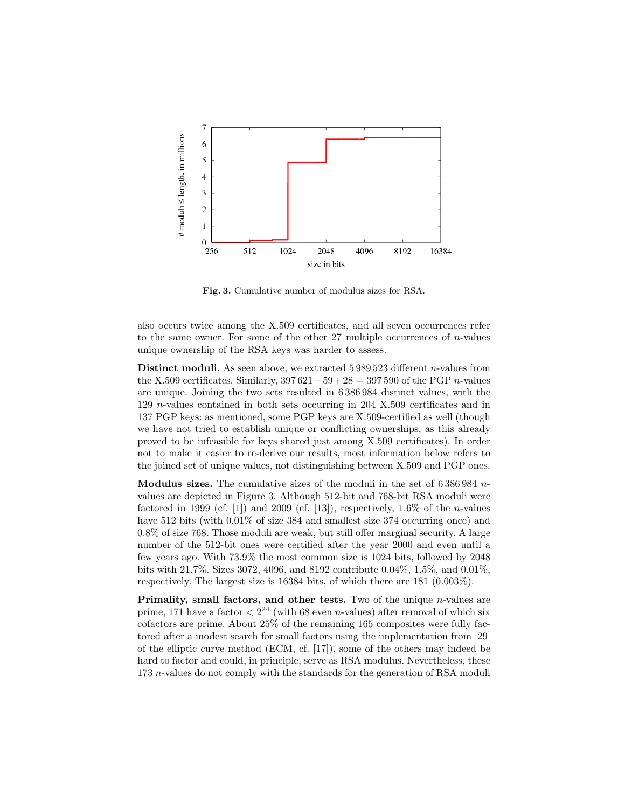

Fig. 3. Cumulative number of modulus sizes for RSA.

also occurs twice among the X.509 certificates, and all seven occurrences refer to the same owner. For some of the other  $27$  multiple occurrences of *n*-values unique ownership of the RSA keys was harder to assess.

Distinct moduli. As seen above, we extracted 5 989 523 different n-values from the X.509 certificates. Similarly,  $397621-59+28 = 397590$  of the PGP n-values are unique. Joining the two sets resulted in 6 386 984 distinct values, with the 129 n-values contained in both sets occurring in 204 X.509 certificates and in 137 PGP keys: as mentioned, some PGP keys are X.509-certified as well (though we have not tried to establish unique or conflicting ownerships, as this already proved to be infeasible for keys shared just among X.509 certificates). In order not to make it easier to re-derive our results, most information below refers to the joined set of unique values, not distinguishing between X.509 and PGP ones.

**Modulus sizes.** The cumulative sizes of the moduli in the set of  $6\,386\,984$  nvalues are depicted in Figure 3. Although 512-bit and 768-bit RSA moduli were factored in 1999 (cf. [1]) and 2009 (cf. [13]), respectively, 1.6\% of the *n*-values have 512 bits (with  $0.01\%$  of size 384 and smallest size 374 occurring once) and 0.8% of size 768. Those moduli are weak, but still offer marginal security. A large number of the 512-bit ones were certified after the year 2000 and even until a few years ago. With 73.9% the most common size is 1024 bits, followed by 2048 bits with 21.7%. Sizes 3072, 4096, and 8192 contribute 0.04%, 1.5%, and 0.01%, respectively. The largest size is 16384 bits, of which there are 181 (0.003%).

Primality, small factors, and other tests. Two of the unique  $n$ -values are prime, 171 have a factor  $\langle 2^{24} \rangle$  (with 68 even *n*-values) after removal of which six cofactors are prime. About 25% of the remaining 165 composites were fully factored after a modest search for small factors using the implementation from [29] of the elliptic curve method (ECM, cf. [17]), some of the others may indeed be hard to factor and could, in principle, serve as RSA modulus. Nevertheless, these 173 n-values do not comply with the standards for the generation of RSA moduli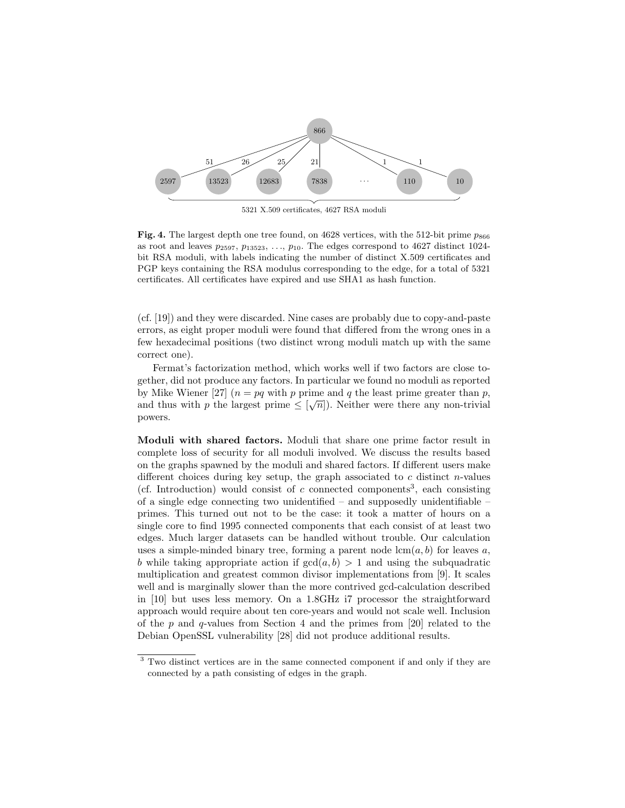

5321 X.509 certificates, 4627 RSA moduli

Fig. 4. The largest depth one tree found, on 4628 vertices, with the 512-bit prime  $p_{866}$ as root and leaves  $p_{2597}, p_{13523}, \ldots, p_{10}$ . The edges correspond to 4627 distinct 1024bit RSA moduli, with labels indicating the number of distinct X.509 certificates and PGP keys containing the RSA modulus corresponding to the edge, for a total of 5321 certificates. All certificates have expired and use SHA1 as hash function.

(cf. [19]) and they were discarded. Nine cases are probably due to copy-and-paste errors, as eight proper moduli were found that differed from the wrong ones in a few hexadecimal positions (two distinct wrong moduli match up with the same correct one).

Fermat's factorization method, which works well if two factors are close together, did not produce any factors. In particular we found no moduli as reported by Mike Wiener [27]  $(n = pq \text{ with } p \text{ prime and } q \text{ the least prime greater than } p,$ and thus with p the largest prime  $\leq \lfloor \sqrt{n} \rfloor$ . Neither were there any non-trivial powers.

Moduli with shared factors. Moduli that share one prime factor result in complete loss of security for all moduli involved. We discuss the results based on the graphs spawned by the moduli and shared factors. If different users make different choices during key setup, the graph associated to  $c$  distinct n-values (cf. Introduction) would consist of  $c$  connected components<sup>3</sup>, each consisting of a single edge connecting two unidentified  $-$  and supposedly unidentifiable  $$ primes. This turned out not to be the case: it took a matter of hours on a single core to find 1995 connected components that each consist of at least two edges. Much larger datasets can be handled without trouble. Our calculation uses a simple-minded binary tree, forming a parent node  $lcm(a, b)$  for leaves a, b while taking appropriate action if  $gcd(a, b) > 1$  and using the subquadratic multiplication and greatest common divisor implementations from [9]. It scales well and is marginally slower than the more contrived gcd-calculation described in [10] but uses less memory. On a 1.8GHz i7 processor the straightforward approach would require about ten core-years and would not scale well. Inclusion of the  $p$  and  $q$ -values from Section 4 and the primes from [20] related to the Debian OpenSSL vulnerability [28] did not produce additional results.

<sup>&</sup>lt;sup>3</sup> Two distinct vertices are in the same connected component if and only if they are connected by a path consisting of edges in the graph.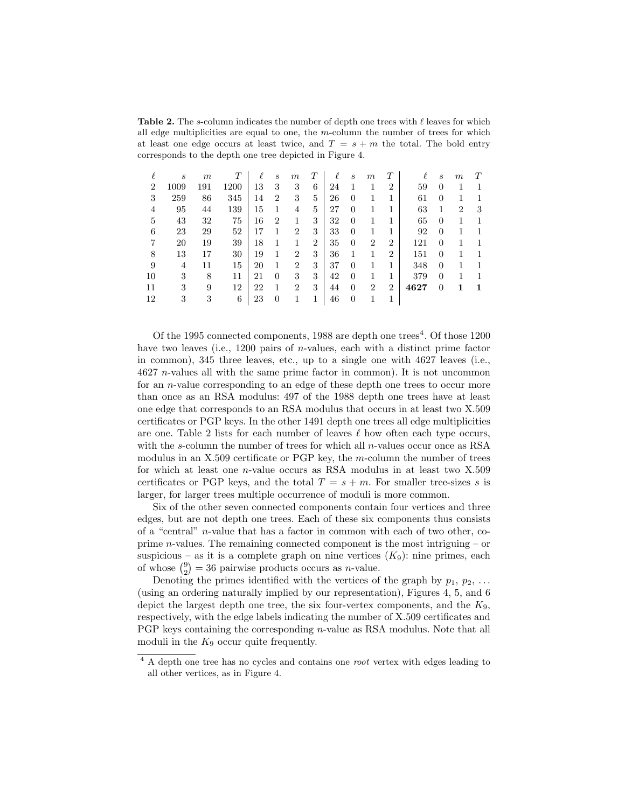**Table 2.** The s-column indicates the number of depth one trees with  $\ell$  leaves for which all edge multiplicities are equal to one, the  $m$ -column the number of trees for which at least one edge occurs at least twice, and  $T = s + m$  the total. The bold entry corresponds to the depth one tree depicted in Figure 4.

|                | S    | m   | T    | $\ell$ | $\mathcal{S}_{0}$ | $_{m}$         | T              | l  | $\mathcal{S}_{0}$ | $_{m}$         | Т              | ł.   | S        | $_{m}$ | T |
|----------------|------|-----|------|--------|-------------------|----------------|----------------|----|-------------------|----------------|----------------|------|----------|--------|---|
| $\overline{2}$ | 1009 | 191 | 1200 | 13     | 3                 | 3              | 6              | 24 |                   |                | $\overline{2}$ | 59   | 0        |        |   |
| 3              | 259  | 86  | 345  | 14     | $\overline{2}$    | 3              | 5              | 26 | 0                 |                | 1              | 61   | 0        |        |   |
| 4              | 95   | 44  | 139  | 15     |                   | 4              | 5              | 27 | 0                 |                | 1              | 63   |          | 2      | 3 |
| 5              | 43   | 32  | 75   | 16     | 2                 |                | 3              | 32 | 0                 |                | 1              | 65   | $\theta$ |        |   |
| 6              | 23   | 29  | 52   | 17     |                   | $\overline{2}$ | 3              | 33 | 0                 | 1              | 1              | 92   | 0        |        | 1 |
|                | 20   | 19  | 39   | 18     |                   |                | $\overline{2}$ | 35 | $\overline{0}$    | $\overline{2}$ | $\overline{2}$ | 121  | 0        |        | 1 |
| 8              | 13   | 17  | 30   | 19     |                   | $\overline{2}$ | 3              | 36 | 1                 | 1              | $\overline{2}$ | 151  | 0        |        | 1 |
| 9              | 4    | 11  | 15   | 20     |                   | $\overline{2}$ | 3              | 37 | 0                 | 1              | 1              | 348  | $\Omega$ | 1      | 1 |
| 10             | 3    | 8   | 11   | 21     | $\overline{0}$    | 3              | 3              | 42 | $\overline{0}$    |                | 1              | 379  | $\Omega$ | 1      | 1 |
| 11             | 3    | 9   | 12   | 22     |                   | $\overline{2}$ | 3              | 44 | $\Omega$          | $\overline{2}$ | $\overline{2}$ | 4627 | $\Omega$ |        | 1 |
| 12             | 3    | 3   | 6    | 23     | 0                 |                |                | 46 | $\overline{0}$    |                |                |      |          |        |   |

Of the 1995 connected components, 1988 are depth one trees<sup>4</sup>. Of those 1200 have two leaves (i.e., 1200 pairs of *n*-values, each with a distinct prime factor in common), 345 three leaves, etc., up to a single one with 4627 leaves (i.e., 4627 n-values all with the same prime factor in common). It is not uncommon for an n-value corresponding to an edge of these depth one trees to occur more than once as an RSA modulus: 497 of the 1988 depth one trees have at least one edge that corresponds to an RSA modulus that occurs in at least two X.509 certificates or PGP keys. In the other 1491 depth one trees all edge multiplicities are one. Table 2 lists for each number of leaves  $\ell$  how often each type occurs, with the s-column the number of trees for which all *n*-values occur once as RSA modulus in an X.509 certificate or PGP key, the m-column the number of trees for which at least one n-value occurs as RSA modulus in at least two X.509 certificates or PGP keys, and the total  $T = s + m$ . For smaller tree-sizes s is larger, for larger trees multiple occurrence of moduli is more common.

Six of the other seven connected components contain four vertices and three edges, but are not depth one trees. Each of these six components thus consists of a "central" n-value that has a factor in common with each of two other, coprime  $n$ -values. The remaining connected component is the most intriguing – or suspicious – as it is a complete graph on nine vertices  $(K_9)$ : nine primes, each of whose  $\binom{9}{2} = 36$  pairwise products occurs as *n*-value.

Denoting the primes identified with the vertices of the graph by  $p_1, p_2, \ldots$ (using an ordering naturally implied by our representation), Figures 4, 5, and 6 depict the largest depth one tree, the six four-vertex components, and the  $K_9$ , respectively, with the edge labels indicating the number of X.509 certificates and PGP keys containing the corresponding n-value as RSA modulus. Note that all moduli in the  $K_9$  occur quite frequently.

<sup>&</sup>lt;sup>4</sup> A depth one tree has no cycles and contains one *root* vertex with edges leading to all other vertices, as in Figure 4.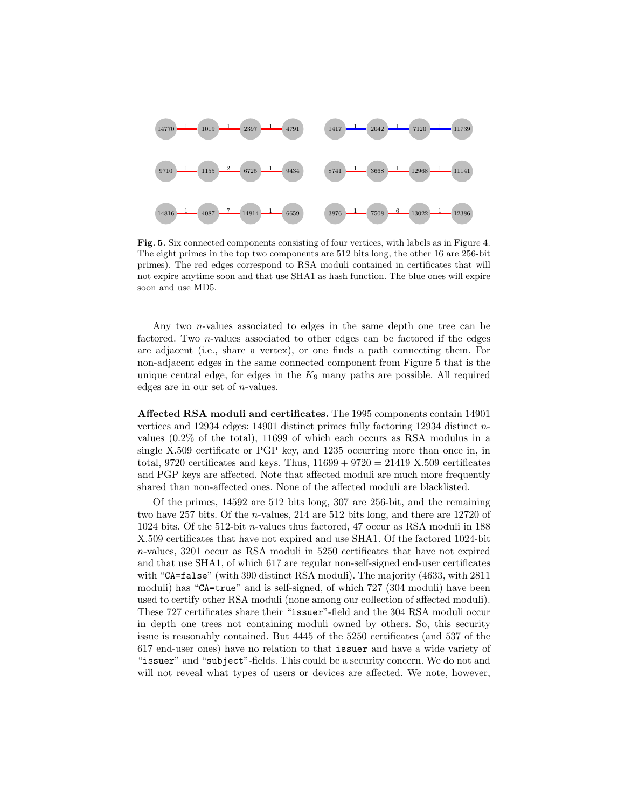

Fig. 5. Six connected components consisting of four vertices, with labels as in Figure 4. The eight primes in the top two components are 512 bits long, the other 16 are 256-bit primes). The red edges correspond to RSA moduli contained in certificates that will not expire anytime soon and that use SHA1 as hash function. The blue ones will expire soon and use MD5.

Any two n-values associated to edges in the same depth one tree can be factored. Two n-values associated to other edges can be factored if the edges are adjacent (i.e., share a vertex), or one finds a path connecting them. For non-adjacent edges in the same connected component from Figure 5 that is the unique central edge, for edges in the  $K_9$  many paths are possible. All required edges are in our set of n-values.

Affected RSA moduli and certificates. The 1995 components contain 14901 vertices and 12934 edges: 14901 distinct primes fully factoring 12934 distinct nvalues (0.2% of the total), 11699 of which each occurs as RSA modulus in a single X.509 certificate or PGP key, and 1235 occurring more than once in, in total, 9720 certificates and keys. Thus,  $11699 + 9720 = 21419$  X.509 certificates and PGP keys are affected. Note that affected moduli are much more frequently shared than non-affected ones. None of the affected moduli are blacklisted.

Of the primes, 14592 are 512 bits long, 307 are 256-bit, and the remaining two have 257 bits. Of the n-values, 214 are 512 bits long, and there are 12720 of  $1024$  bits. Of the 512-bit  $n\text{-values}$  thus factored, 47 occur as RSA moduli in  $188$ X.509 certificates that have not expired and use SHA1. Of the factored 1024-bit n-values, 3201 occur as RSA moduli in 5250 certificates that have not expired and that use SHA1, of which 617 are regular non-self-signed end-user certificates with "CA=false" (with 390 distinct RSA moduli). The majority (4633, with 2811 moduli) has "CA=true" and is self-signed, of which 727 (304 moduli) have been used to certify other RSA moduli (none among our collection of affected moduli). These 727 certificates share their "issuer"-field and the 304 RSA moduli occur in depth one trees not containing moduli owned by others. So, this security issue is reasonably contained. But 4445 of the 5250 certificates (and 537 of the 617 end-user ones) have no relation to that issuer and have a wide variety of "issuer" and "subject"-fields. This could be a security concern. We do not and will not reveal what types of users or devices are affected. We note, however,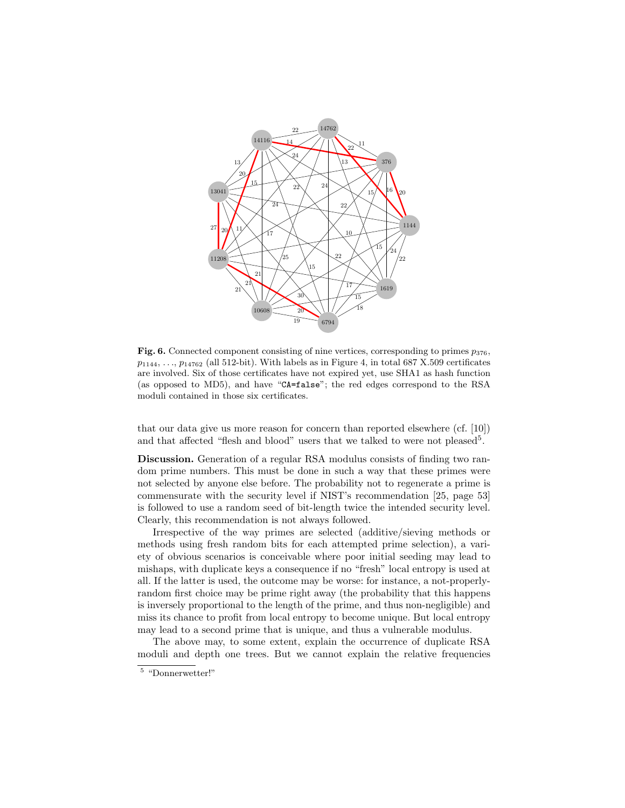

Fig. 6. Connected component consisting of nine vertices, corresponding to primes  $p_{376}$ ,  $p_{1144}, \ldots, p_{14762}$  (all 512-bit). With labels as in Figure 4, in total 687 X.509 certificates are involved. Six of those certificates have not expired yet, use SHA1 as hash function (as opposed to MD5), and have "CA=false"; the red edges correspond to the RSA moduli contained in those six certificates.

that our data give us more reason for concern than reported elsewhere (cf. [10]) and that affected "flesh and blood" users that we talked to were not pleased<sup>5</sup>.

Discussion. Generation of a regular RSA modulus consists of finding two random prime numbers. This must be done in such a way that these primes were not selected by anyone else before. The probability not to regenerate a prime is commensurate with the security level if NIST's recommendation [25, page 53] is followed to use a random seed of bit-length twice the intended security level. Clearly, this recommendation is not always followed.

Irrespective of the way primes are selected (additive/sieving methods or methods using fresh random bits for each attempted prime selection), a variety of obvious scenarios is conceivable where poor initial seeding may lead to mishaps, with duplicate keys a consequence if no "fresh" local entropy is used at all. If the latter is used, the outcome may be worse: for instance, a not-properlyrandom first choice may be prime right away (the probability that this happens is inversely proportional to the length of the prime, and thus non-negligible) and miss its chance to profit from local entropy to become unique. But local entropy may lead to a second prime that is unique, and thus a vulnerable modulus.

The above may, to some extent, explain the occurrence of duplicate RSA moduli and depth one trees. But we cannot explain the relative frequencies

"Donnerwetter!"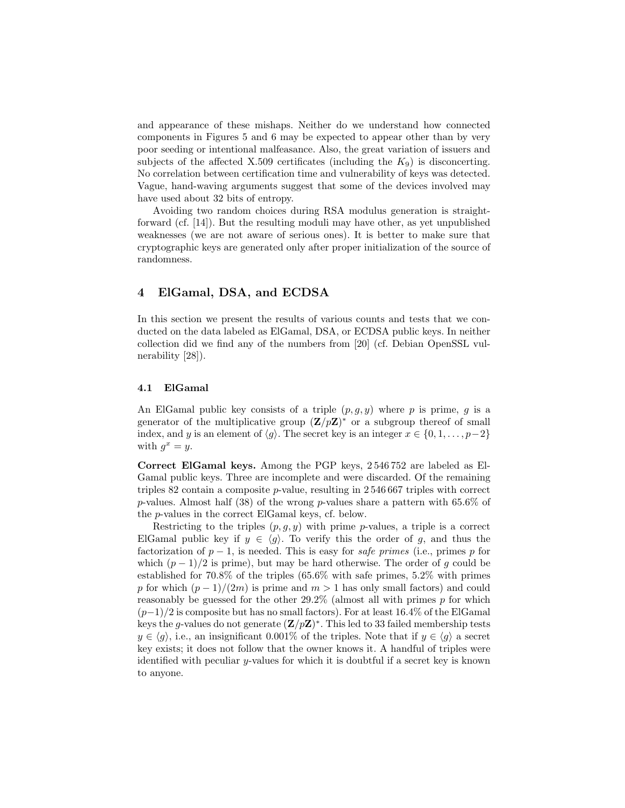and appearance of these mishaps. Neither do we understand how connected components in Figures 5 and 6 may be expected to appear other than by very poor seeding or intentional malfeasance. Also, the great variation of issuers and subjects of the affected X.509 certificates (including the  $K_9$ ) is disconcerting. No correlation between certification time and vulnerability of keys was detected. Vague, hand-waving arguments suggest that some of the devices involved may have used about 32 bits of entropy.

Avoiding two random choices during RSA modulus generation is straightforward (cf. [14]). But the resulting moduli may have other, as yet unpublished weaknesses (we are not aware of serious ones). It is better to make sure that cryptographic keys are generated only after proper initialization of the source of randomness.

## 4 ElGamal, DSA, and ECDSA

In this section we present the results of various counts and tests that we conducted on the data labeled as ElGamal, DSA, or ECDSA public keys. In neither collection did we find any of the numbers from [20] (cf. Debian OpenSSL vulnerability [28]).

#### 4.1 ElGamal

An ElGamal public key consists of a triple  $(p, g, y)$  where p is prime, g is a generator of the multiplicative group  $(\mathbf{Z}/p\mathbf{Z})^*$  or a subgroup thereof of small index, and y is an element of  $\langle g \rangle$ . The secret key is an integer  $x \in \{0, 1, \ldots, p-2\}$ with  $g^x = y$ .

Correct ElGamal keys. Among the PGP keys, 2 546 752 are labeled as El-Gamal public keys. Three are incomplete and were discarded. Of the remaining triples 82 contain a composite p-value, resulting in 2 546 667 triples with correct p-values. Almost half (38) of the wrong p-values share a pattern with 65.6% of the p-values in the correct ElGamal keys, cf. below.

Restricting to the triples  $(p, g, y)$  with prime p-values, a triple is a correct ElGamal public key if  $y \in \langle g \rangle$ . To verify this the order of g, and thus the factorization of  $p-1$ , is needed. This is easy for *safe primes* (i.e., primes p for which  $(p-1)/2$  is prime), but may be hard otherwise. The order of g could be established for 70.8% of the triples (65.6% with safe primes, 5.2% with primes p for which  $(p-1)/(2m)$  is prime and  $m > 1$  has only small factors) and could reasonably be guessed for the other  $29.2\%$  (almost all with primes p for which  $(p-1)/2$  is composite but has no small factors). For at least 16.4% of the ElGamal keys the g-values do not generate  $(\mathbf{Z}/p\mathbf{Z})^*$ . This led to 33 failed membership tests  $y \in \langle g \rangle$ , i.e., an insignificant 0.001% of the triples. Note that if  $y \in \langle g \rangle$  a secret key exists; it does not follow that the owner knows it. A handful of triples were identified with peculiar y-values for which it is doubtful if a secret key is known to anyone.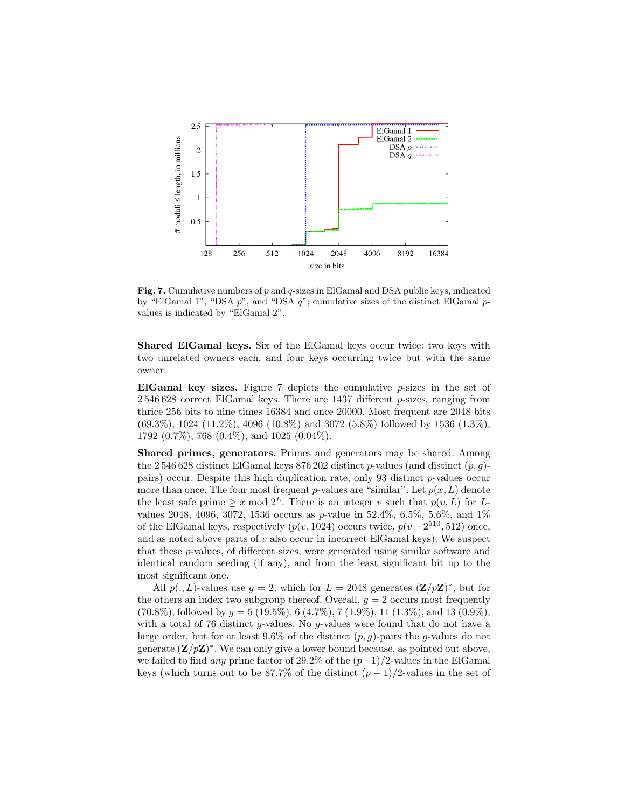

**Fig. 7.** Cumulative numbers of  $p$  and  $q$ -sizes in ElGamal and DSA public keys, indicated by "ElGamal 1", "DSA  $p$ ", and "DSA  $q$ "; cumulative sizes of the distinct ElGamal  $p$ values is indicated by "ElGamal 2".

Shared ElGamal keys. Six of the ElGamal keys occur twice: two keys with two unrelated owners each, and four keys occurring twice but with the same owner.

ElGamal key sizes. Figure 7 depicts the cumulative  $p$ -sizes in the set of  $2\,546\,628$  correct ElGamal keys. There are 1437 different p-sizes, ranging from thrice 256 bits to nine times 16384 and once 20000. Most frequent are 2048 bits (69.3%), 1024 (11.2%), 4096 (10.8%) and 3072 (5.8%) followed by 1536 (1.3%), 1792 (0.7%), 768 (0.4%), and 1025 (0.04%).

Shared primes, generators. Primes and generators may be shared. Among the 2546 628 distinct ElGamal keys 876 202 distinct  $p$ -values (and distinct  $(p, g)$ pairs) occur. Despite this high duplication rate, only 93 distinct  $p$ -values occur more than once. The four most frequent p-values are "similar". Let  $p(x, L)$  denote the least safe prime  $\geq x \mod 2^L$ . There is an integer v such that  $p(v, L)$  for Lvalues 2048, 4096, 3072, 1536 occurs as p-value in  $52.4\%$ ,  $6.5\%$ ,  $5.6\%$ , and  $1\%$ of the ElGamal keys, respectively  $(p(v, 1024)$  occurs twice,  $p(v + 2^{510}, 512)$  once, and as noted above parts of  $v$  also occur in incorrect ElGamal keys). We suspect that these p-values, of different sizes, were generated using similar software and identical random seeding (if any), and from the least significant bit up to the most significant one.

All  $p(., L)$ -values use  $g = 2$ , which for  $L = 2048$  generates  $(\mathbf{Z}/p\mathbf{Z})^*$ , but for the others an index two subgroup thereof. Overall,  $g = 2$  occurs most frequently  $(70.8\%)$ , followed by  $g = 5 (19.5\%), 6 (4.7\%), 7 (1.9\%), 11 (1.3\%),$  and 13  $(0.9\%),$ with a total of 76 distinct q-values. No q-values were found that do not have a large order, but for at least  $9.6\%$  of the distinct  $(p, g)$ -pairs the g-values do not generate  $(\mathbf{Z}/p\mathbf{Z})^*$ . We can only give a lower bound because, as pointed out above, we failed to find any prime factor of 29.2% of the  $(p-1)/2$ -values in the ElGamal keys (which turns out to be 87.7% of the distinct  $(p-1)/2$ -values in the set of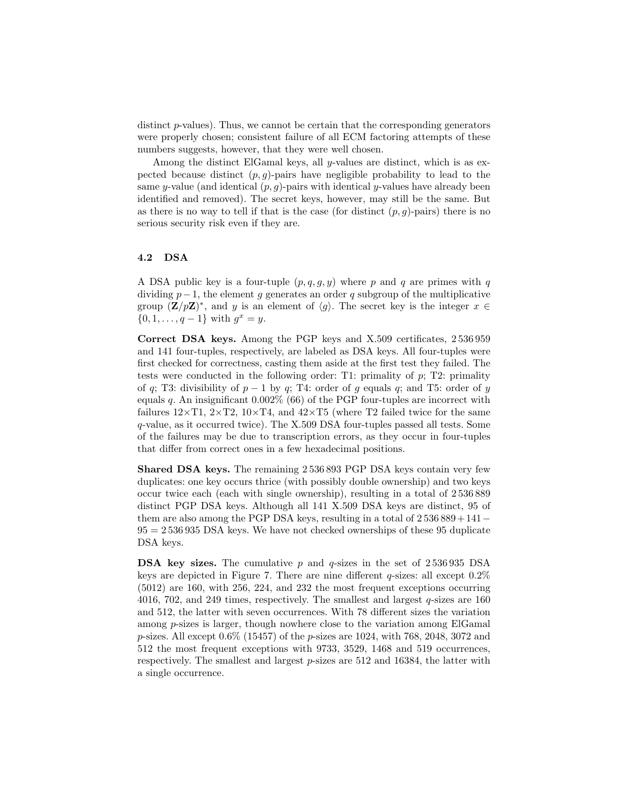distinct  $p$ -values). Thus, we cannot be certain that the corresponding generators were properly chosen; consistent failure of all ECM factoring attempts of these numbers suggests, however, that they were well chosen.

Among the distinct ElGamal keys, all y-values are distinct, which is as expected because distinct  $(p, q)$ -pairs have negligible probability to lead to the same y-value (and identical  $(p, g)$ -pairs with identical y-values have already been identified and removed). The secret keys, however, may still be the same. But as there is no way to tell if that is the case (for distinct  $(p, q)$ -pairs) there is no serious security risk even if they are.

#### 4.2 DSA

A DSA public key is a four-tuple  $(p, q, q, y)$  where p and q are primes with q dividing  $p-1$ , the element g generates an order q subgroup of the multiplicative group  $(\mathbf{Z}/p\mathbf{Z})^*$ , and y is an element of  $\langle g \rangle$ . The secret key is the integer  $x \in$  $\{0, 1, \ldots, q-1\}$  with  $g^x = y$ .

Correct DSA keys. Among the PGP keys and X.509 certificates, 2 536 959 and 141 four-tuples, respectively, are labeled as DSA keys. All four-tuples were first checked for correctness, casting them aside at the first test they failed. The tests were conducted in the following order: T1: primality of  $p$ ; T2: primality of q; T3: divisibility of  $p - 1$  by q; T4: order of g equals q; and T5: order of y equals q. An insignificant  $0.002\%$  (66) of the PGP four-tuples are incorrect with failures  $12\times$ T1,  $2\times$ T2,  $10\times$ T4, and  $42\times$ T5 (where T2 failed twice for the same q-value, as it occurred twice). The X.509 DSA four-tuples passed all tests. Some of the failures may be due to transcription errors, as they occur in four-tuples that differ from correct ones in a few hexadecimal positions.

Shared DSA keys. The remaining 2 536 893 PGP DSA keys contain very few duplicates: one key occurs thrice (with possibly double ownership) and two keys occur twice each (each with single ownership), resulting in a total of 2 536 889 distinct PGP DSA keys. Although all 141 X.509 DSA keys are distinct, 95 of them are also among the PGP DSA keys, resulting in a total of  $2536889+141 95 = 2536935$  DSA keys. We have not checked ownerships of these 95 duplicate DSA keys.

**DSA key sizes.** The cumulative p and q-sizes in the set of  $2536935$  DSA keys are depicted in Figure 7. There are nine different  $q$ -sizes: all except  $0.2\%$ (5012) are 160, with 256, 224, and 232 the most frequent exceptions occurring 4016, 702, and 249 times, respectively. The smallest and largest q-sizes are 160 and 512, the latter with seven occurrences. With 78 different sizes the variation among p-sizes is larger, though nowhere close to the variation among ElGamal p-sizes. All except 0.6% (15457) of the p-sizes are 1024, with 768, 2048, 3072 and 512 the most frequent exceptions with 9733, 3529, 1468 and 519 occurrences, respectively. The smallest and largest  $p$ -sizes are 512 and 16384, the latter with a single occurrence.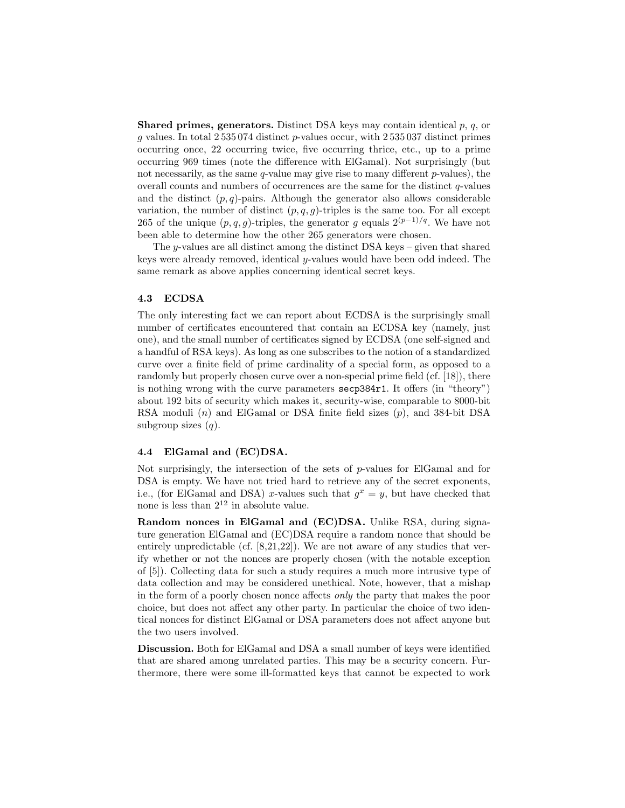**Shared primes, generators.** Distinct DSA keys may contain identical  $p, q$ , or g values. In total 2 535 074 distinct p-values occur, with 2 535 037 distinct primes occurring once, 22 occurring twice, five occurring thrice, etc., up to a prime occurring 969 times (note the difference with ElGamal). Not surprisingly (but not necessarily, as the same  $q$ -value may give rise to many different  $p$ -values), the overall counts and numbers of occurrences are the same for the distinct  $q$ -values and the distinct  $(p, q)$ -pairs. Although the generator also allows considerable variation, the number of distinct  $(p, q, q)$ -triples is the same too. For all except 265 of the unique  $(p, q, g)$ -triples, the generator g equals  $2^{(p-1)/q}$ . We have not been able to determine how the other 265 generators were chosen.

The y-values are all distinct among the distinct DSA keys – given that shared keys were already removed, identical  $y$ -values would have been odd indeed. The same remark as above applies concerning identical secret keys.

#### 4.3 ECDSA

The only interesting fact we can report about ECDSA is the surprisingly small number of certificates encountered that contain an ECDSA key (namely, just one), and the small number of certificates signed by ECDSA (one self-signed and a handful of RSA keys). As long as one subscribes to the notion of a standardized curve over a finite field of prime cardinality of a special form, as opposed to a randomly but properly chosen curve over a non-special prime field (cf. [18]), there is nothing wrong with the curve parameters secp384r1. It offers (in "theory") about 192 bits of security which makes it, security-wise, comparable to 8000-bit RSA moduli  $(n)$  and ElGamal or DSA finite field sizes  $(p)$ , and 384-bit DSA subgroup sizes  $(q)$ .

#### 4.4 ElGamal and (EC)DSA.

Not surprisingly, the intersection of the sets of p-values for ElGamal and for DSA is empty. We have not tried hard to retrieve any of the secret exponents, i.e., (for ElGamal and DSA) x-values such that  $g^x = y$ , but have checked that none is less than  $2^{12}$  in absolute value.

Random nonces in ElGamal and (EC)DSA. Unlike RSA, during signature generation ElGamal and (EC)DSA require a random nonce that should be entirely unpredictable (cf.  $[8,21,22]$ ). We are not aware of any studies that verify whether or not the nonces are properly chosen (with the notable exception of [5]). Collecting data for such a study requires a much more intrusive type of data collection and may be considered unethical. Note, however, that a mishap in the form of a poorly chosen nonce affects only the party that makes the poor choice, but does not affect any other party. In particular the choice of two identical nonces for distinct ElGamal or DSA parameters does not affect anyone but the two users involved.

Discussion. Both for ElGamal and DSA a small number of keys were identified that are shared among unrelated parties. This may be a security concern. Furthermore, there were some ill-formatted keys that cannot be expected to work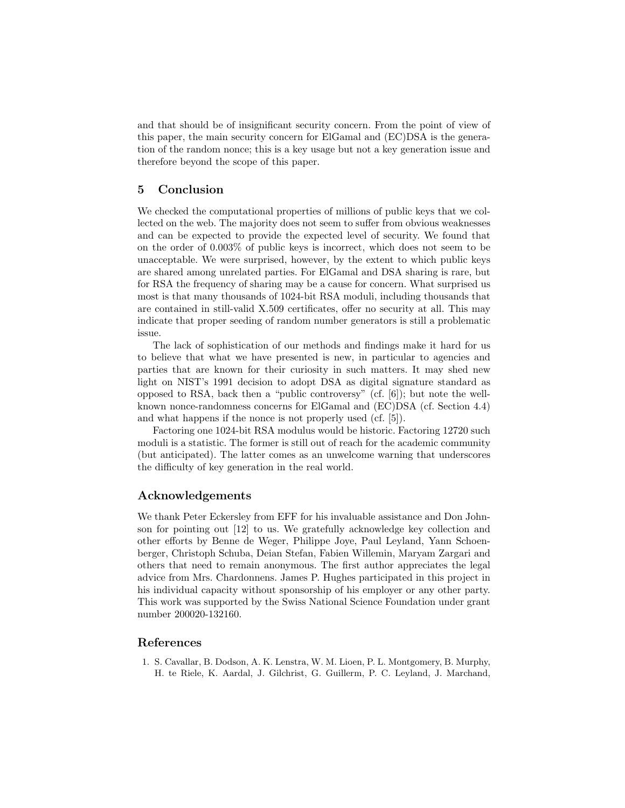and that should be of insignificant security concern. From the point of view of this paper, the main security concern for ElGamal and (EC)DSA is the generation of the random nonce; this is a key usage but not a key generation issue and therefore beyond the scope of this paper.

### 5 Conclusion

We checked the computational properties of millions of public keys that we collected on the web. The majority does not seem to suffer from obvious weaknesses and can be expected to provide the expected level of security. We found that on the order of 0.003% of public keys is incorrect, which does not seem to be unacceptable. We were surprised, however, by the extent to which public keys are shared among unrelated parties. For ElGamal and DSA sharing is rare, but for RSA the frequency of sharing may be a cause for concern. What surprised us most is that many thousands of 1024-bit RSA moduli, including thousands that are contained in still-valid X.509 certificates, offer no security at all. This may indicate that proper seeding of random number generators is still a problematic issue.

The lack of sophistication of our methods and findings make it hard for us to believe that what we have presented is new, in particular to agencies and parties that are known for their curiosity in such matters. It may shed new light on NIST's 1991 decision to adopt DSA as digital signature standard as opposed to RSA, back then a "public controversy" (cf. [6]); but note the wellknown nonce-randomness concerns for ElGamal and (EC)DSA (cf. Section 4.4) and what happens if the nonce is not properly used (cf. [5]).

Factoring one 1024-bit RSA modulus would be historic. Factoring 12720 such moduli is a statistic. The former is still out of reach for the academic community (but anticipated). The latter comes as an unwelcome warning that underscores the difficulty of key generation in the real world.

## Acknowledgements

We thank Peter Eckersley from EFF for his invaluable assistance and Don Johnson for pointing out [12] to us. We gratefully acknowledge key collection and other efforts by Benne de Weger, Philippe Joye, Paul Leyland, Yann Schoenberger, Christoph Schuba, Deian Stefan, Fabien Willemin, Maryam Zargari and others that need to remain anonymous. The first author appreciates the legal advice from Mrs. Chardonnens. James P. Hughes participated in this project in his individual capacity without sponsorship of his employer or any other party. This work was supported by the Swiss National Science Foundation under grant number 200020-132160.

## References

1. S. Cavallar, B. Dodson, A. K. Lenstra, W. M. Lioen, P. L. Montgomery, B. Murphy, H. te Riele, K. Aardal, J. Gilchrist, G. Guillerm, P. C. Leyland, J. Marchand,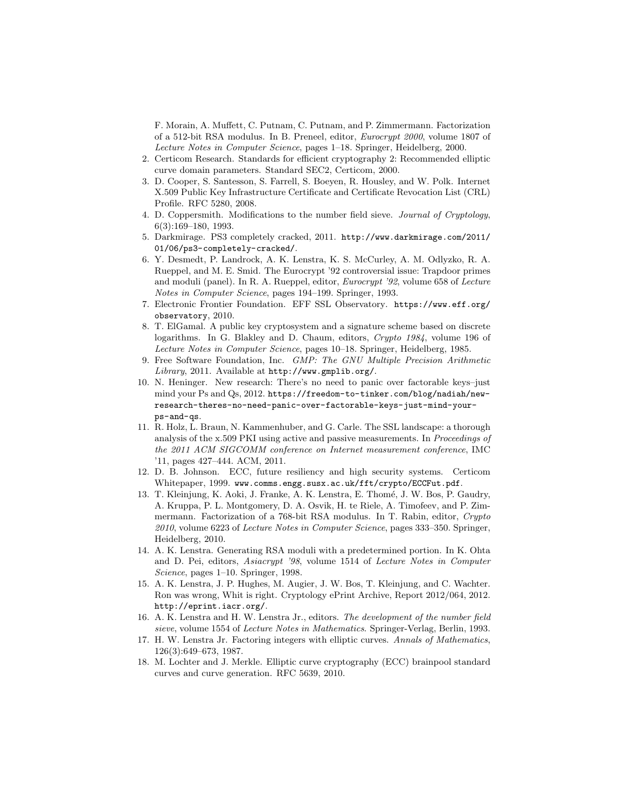F. Morain, A. Muffett, C. Putnam, C. Putnam, and P. Zimmermann. Factorization of a 512-bit RSA modulus. In B. Preneel, editor, Eurocrypt 2000, volume 1807 of Lecture Notes in Computer Science, pages 1–18. Springer, Heidelberg, 2000.

- 2. Certicom Research. Standards for efficient cryptography 2: Recommended elliptic curve domain parameters. Standard SEC2, Certicom, 2000.
- 3. D. Cooper, S. Santesson, S. Farrell, S. Boeyen, R. Housley, and W. Polk. Internet X.509 Public Key Infrastructure Certificate and Certificate Revocation List (CRL) Profile. RFC 5280, 2008.
- 4. D. Coppersmith. Modifications to the number field sieve. Journal of Cryptology, 6(3):169–180, 1993.
- 5. Darkmirage. PS3 completely cracked, 2011. http://www.darkmirage.com/2011/ 01/06/ps3-completely-cracked/.
- 6. Y. Desmedt, P. Landrock, A. K. Lenstra, K. S. McCurley, A. M. Odlyzko, R. A. Rueppel, and M. E. Smid. The Eurocrypt '92 controversial issue: Trapdoor primes and moduli (panel). In R. A. Rueppel, editor, Eurocrypt '92, volume 658 of Lecture Notes in Computer Science, pages 194–199. Springer, 1993.
- 7. Electronic Frontier Foundation. EFF SSL Observatory. https://www.eff.org/ observatory, 2010.
- 8. T. ElGamal. A public key cryptosystem and a signature scheme based on discrete logarithms. In G. Blakley and D. Chaum, editors, Crypto 1984, volume 196 of Lecture Notes in Computer Science, pages 10–18. Springer, Heidelberg, 1985.
- 9. Free Software Foundation, Inc. GMP: The GNU Multiple Precision Arithmetic Library, 2011. Available at  $http://www.gmplib.org/$ .
- 10. N. Heninger. New research: There's no need to panic over factorable keys–just mind your Ps and Qs, 2012. https://freedom-to-tinker.com/blog/nadiah/newresearch-theres-no-need-panic-over-factorable-keys-just-mind-yourps-and-qs.
- 11. R. Holz, L. Braun, N. Kammenhuber, and G. Carle. The SSL landscape: a thorough analysis of the x.509 PKI using active and passive measurements. In *Proceedings of* the 2011 ACM SIGCOMM conference on Internet measurement conference, IMC '11, pages 427–444. ACM, 2011.
- 12. D. B. Johnson. ECC, future resiliency and high security systems. Certicom Whitepaper, 1999. www.comms.engg.susx.ac.uk/fft/crypto/ECCFut.pdf.
- 13. T. Kleinjung, K. Aoki, J. Franke, A. K. Lenstra, E. Thom´e, J. W. Bos, P. Gaudry, A. Kruppa, P. L. Montgomery, D. A. Osvik, H. te Riele, A. Timofeev, and P. Zimmermann. Factorization of a 768-bit RSA modulus. In T. Rabin, editor, Crypto 2010, volume 6223 of Lecture Notes in Computer Science, pages 333–350. Springer, Heidelberg, 2010.
- 14. A. K. Lenstra. Generating RSA moduli with a predetermined portion. In K. Ohta and D. Pei, editors, Asiacrypt '98, volume 1514 of Lecture Notes in Computer Science, pages 1–10. Springer, 1998.
- 15. A. K. Lenstra, J. P. Hughes, M. Augier, J. W. Bos, T. Kleinjung, and C. Wachter. Ron was wrong, Whit is right. Cryptology ePrint Archive, Report 2012/064, 2012. http://eprint.iacr.org/.
- 16. A. K. Lenstra and H. W. Lenstra Jr., editors. The development of the number field sieve, volume 1554 of Lecture Notes in Mathematics. Springer-Verlag, Berlin, 1993.
- 17. H. W. Lenstra Jr. Factoring integers with elliptic curves. Annals of Mathematics, 126(3):649–673, 1987.
- 18. M. Lochter and J. Merkle. Elliptic curve cryptography (ECC) brainpool standard curves and curve generation. RFC 5639, 2010.